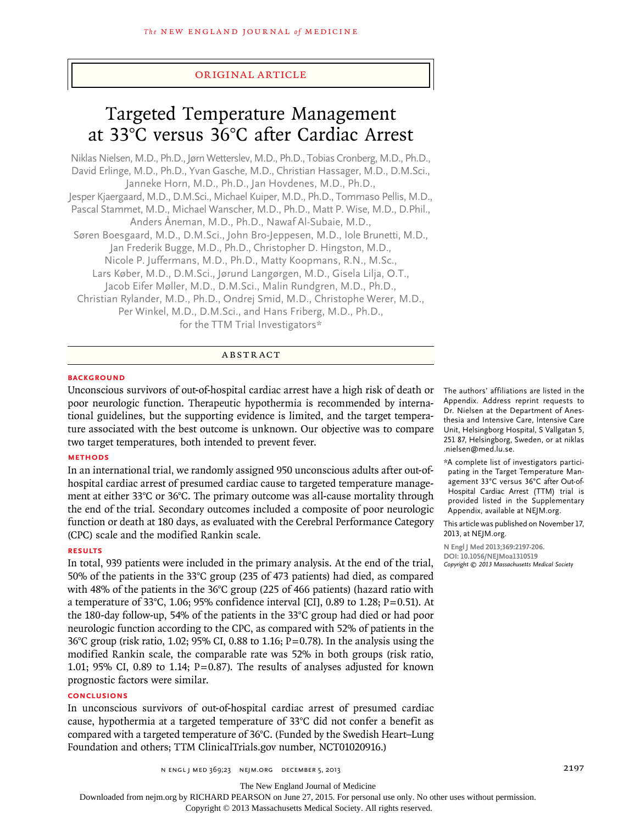# original article

# Targeted Temperature Management at 33°C versus 36°C after Cardiac Arrest

Niklas Nielsen, M.D., Ph.D., Jørn Wetterslev, M.D., Ph.D., Tobias Cronberg, M.D., Ph.D., David Erlinge, M.D., Ph.D., Yvan Gasche, M.D., Christian Hassager, M.D., D.M.Sci., Janneke Horn, M.D., Ph.D., Jan Hovdenes, M.D., Ph.D., Jesper Kjaergaard, M.D., D.M.Sci., Michael Kuiper, M.D., Ph.D., Tommaso Pellis, M.D., Pascal Stammet, M.D., Michael Wanscher, M.D., Ph.D., Matt P. Wise, M.D., D.Phil., Anders Åneman, M.D., Ph.D., Nawaf Al-Subaie, M.D., Søren Boesgaard, M.D., D.M.Sci., John Bro-Jeppesen, M.D., Iole Brunetti, M.D., Jan Frederik Bugge, M.D., Ph.D., Christopher D. Hingston, M.D., Nicole P. Juffermans, M.D., Ph.D., Matty Koopmans, R.N., M.Sc., Lars Køber, M.D., D.M.Sci., Jørund Langørgen, M.D., Gisela Lilja, O.T., Jacob Eifer Møller, M.D., D.M.Sci., Malin Rundgren, M.D., Ph.D., Christian Rylander, M.D., Ph.D., Ondrej Smid, M.D., Christophe Werer, M.D., Per Winkel, M.D., D.M.Sci., and Hans Friberg, M.D., Ph.D., for the TTM Trial Investigators\*

# ABSTRACT

# **BACKGROUND**

Unconscious survivors of out-of-hospital cardiac arrest have a high risk of death or poor neurologic function. Therapeutic hypothermia is recommended by international guidelines, but the supporting evidence is limited, and the target temperature associated with the best outcome is unknown. Our objective was to compare two target temperatures, both intended to prevent fever.

# **Methods**

In an international trial, we randomly assigned 950 unconscious adults after out-ofhospital cardiac arrest of presumed cardiac cause to targeted temperature management at either 33°C or 36°C. The primary outcome was all-cause mortality through the end of the trial. Secondary outcomes included a composite of poor neurologic function or death at 180 days, as evaluated with the Cerebral Performance Category (CPC) scale and the modified Rankin scale.

## **Results**

In total, 939 patients were included in the primary analysis. At the end of the trial, 50% of the patients in the 33°C group (235 of 473 patients) had died, as compared with 48% of the patients in the 36°C group (225 of 466 patients) (hazard ratio with a temperature of 33°C, 1.06; 95% confidence interval [CI], 0.89 to 1.28; P=0.51). At the 180-day follow-up, 54% of the patients in the 33°C group had died or had poor neurologic function according to the CPC, as compared with 52% of patients in the 36°C group (risk ratio, 1.02; 95% CI, 0.88 to 1.16; P=0.78). In the analysis using the modified Rankin scale, the comparable rate was 52% in both groups (risk ratio, 1.01; 95% CI, 0.89 to 1.14;  $P=0.87$ ). The results of analyses adjusted for known prognostic factors were similar.

# **Conclusions**

In unconscious survivors of out-of-hospital cardiac arrest of presumed cardiac cause, hypothermia at a targeted temperature of  $33^{\circ}$ C did not confer a benefit as compared with a targeted temperature of 36°C. (Funded by the Swedish Heart–Lung Foundation and others; TTM ClinicalTrials.gov number, NCT01020916.)

The authors' affiliations are listed in the Appendix. Address reprint requests to Dr. Nielsen at the Department of Anesthesia and Intensive Care, Intensive Care Unit, Helsingborg Hospital, S Vallgatan 5, 251 87, Helsingborg, Sweden, or at niklas .nielsen@med.lu.se.

\*A complete list of investigators participating in the Target Temperature Management 33°C versus 36°C after Out-of-Hospital Cardiac Arrest (TTM) trial is provided listed in the Supplementary Appendix, available at NEJM.org.

This article was published on November 17, 2013, at NEJM.org.

**N Engl J Med 2013;369:2197-206. DOI: 10.1056/NEJMoa1310519** *Copyright © 2013 Massachusetts Medical Society*

The New England Journal of Medicine

Downloaded from nejm.org by RICHARD PEARSON on June 27, 2015. For personal use only. No other uses without permission.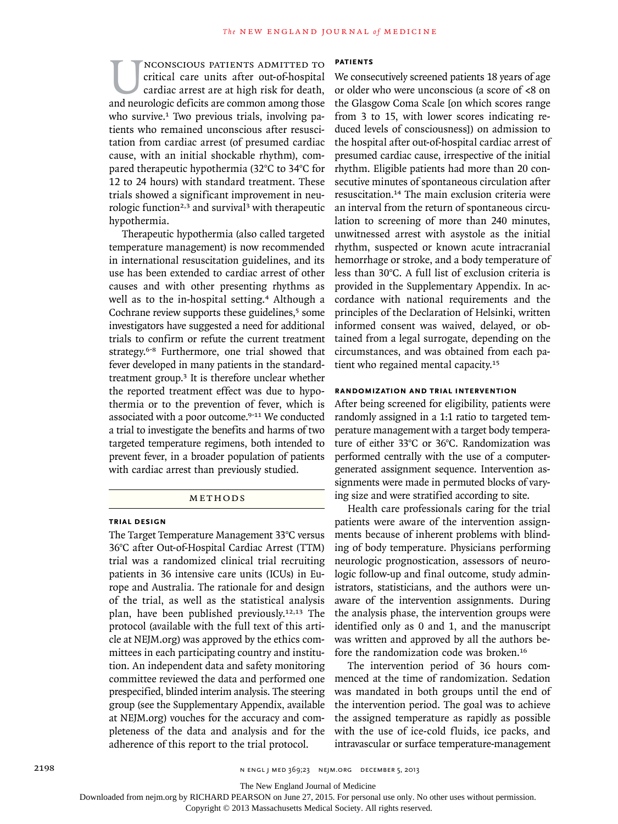NEONSCIOUS PATIENTS ADMITTED TO critical care units after out-of-hospital cardiac arrest are at high risk for death, and neurologic deficits are common among those critical care units after out-of-hospital cardiac arrest are at high risk for death, who survive.<sup>1</sup> Two previous trials, involving patients who remained unconscious after resuscitation from cardiac arrest (of presumed cardiac cause, with an initial shockable rhythm), compared therapeutic hypothermia (32°C to 34°C for 12 to 24 hours) with standard treatment. These trials showed a significant improvement in neurologic function<sup>2,3</sup> and survival<sup>3</sup> with therapeutic hypothermia.

Therapeutic hypothermia (also called targeted temperature management) is now recommended in international resuscitation guidelines, and its use has been extended to cardiac arrest of other causes and with other presenting rhythms as well as to the in-hospital setting.<sup>4</sup> Although a Cochrane review supports these guidelines, $5$  some investigators have suggested a need for additional trials to confirm or refute the current treatment strategy.6-8 Furthermore, one trial showed that fever developed in many patients in the standardtreatment group.3 It is therefore unclear whether the reported treatment effect was due to hypothermia or to the prevention of fever, which is associated with a poor outcome.<sup>9-11</sup> We conducted a trial to investigate the benefits and harms of two targeted temperature regimens, both intended to prevent fever, in a broader population of patients with cardiac arrest than previously studied.

# **METHODS**

### **Trial Design**

The Target Temperature Management 33°C versus 36°C after Out-of-Hospital Cardiac Arrest (TTM) trial was a randomized clinical trial recruiting patients in 36 intensive care units (ICUs) in Europe and Australia. The rationale for and design of the trial, as well as the statistical analysis plan, have been published previously.12,13 The protocol (available with the full text of this article at NEJM.org) was approved by the ethics committees in each participating country and institution. An independent data and safety monitoring committee reviewed the data and performed one prespecified, blinded interim analysis. The steering group (see the Supplementary Appendix, available at NEJM.org) vouches for the accuracy and completeness of the data and analysis and for the adherence of this report to the trial protocol.

## **Patients**

We consecutively screened patients 18 years of age or older who were unconscious (a score of <8 on the Glasgow Coma Scale [on which scores range from 3 to 15, with lower scores indicating reduced levels of consciousness]) on admission to the hospital after out-of-hospital cardiac arrest of presumed cardiac cause, irrespective of the initial rhythm. Eligible patients had more than 20 consecutive minutes of spontaneous circulation after resuscitation.<sup>14</sup> The main exclusion criteria were an interval from the return of spontaneous circulation to screening of more than 240 minutes, unwitnessed arrest with asystole as the initial rhythm, suspected or known acute intracranial hemorrhage or stroke, and a body temperature of less than 30°C. A full list of exclusion criteria is provided in the Supplementary Appendix. In accordance with national requirements and the principles of the Declaration of Helsinki, written informed consent was waived, delayed, or obtained from a legal surrogate, depending on the circumstances, and was obtained from each patient who regained mental capacity.<sup>15</sup>

## **Randomization and Trial Intervention**

After being screened for eligibility, patients were randomly assigned in a 1:1 ratio to targeted temperature management with a target body temperature of either 33°C or 36°C. Randomization was performed centrally with the use of a computergenerated assignment sequence. Intervention assignments were made in permuted blocks of varying size and were stratified according to site.

Health care professionals caring for the trial patients were aware of the intervention assignments because of inherent problems with blinding of body temperature. Physicians performing neurologic prognostication, assessors of neurologic follow-up and final outcome, study administrators, statisticians, and the authors were unaware of the intervention assignments. During the analysis phase, the intervention groups were identified only as 0 and 1, and the manuscript was written and approved by all the authors before the randomization code was broken.<sup>16</sup>

The intervention period of 36 hours commenced at the time of randomization. Sedation was mandated in both groups until the end of the intervention period. The goal was to achieve the assigned temperature as rapidly as possible with the use of ice-cold fluids, ice packs, and intravascular or surface temperature-management

The New England Journal of Medicine

Downloaded from nejm.org by RICHARD PEARSON on June 27, 2015. For personal use only. No other uses without permission.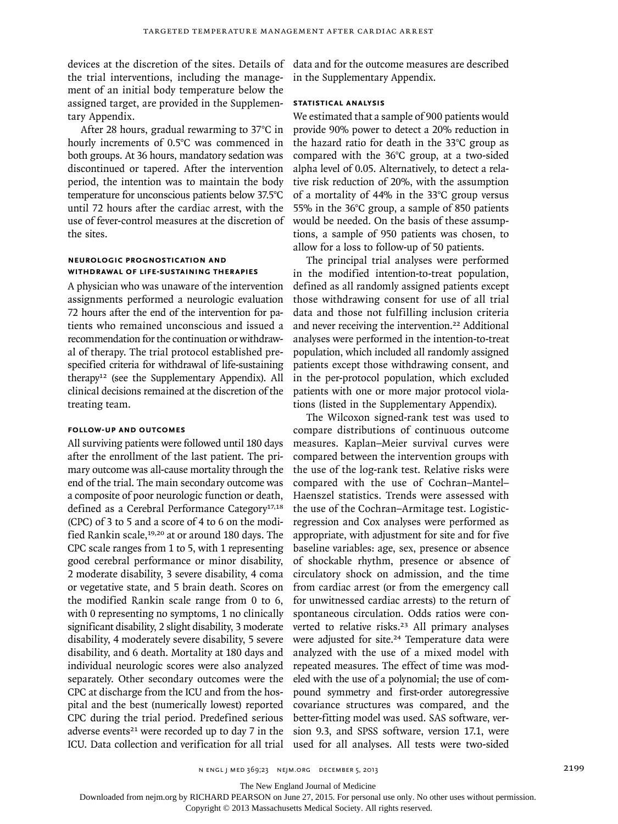the trial interventions, including the management of an initial body temperature below the assigned target, are provided in the Supplementary Appendix.

After 28 hours, gradual rewarming to 37°C in hourly increments of 0.5°C was commenced in both groups. At 36 hours, mandatory sedation was discontinued or tapered. After the intervention period, the intention was to maintain the body temperature for unconscious patients below 37.5°C until 72 hours after the cardiac arrest, with the use of fever-control measures at the discretion of the sites.

# **Neurologic Prognostication and Withdrawal of Life-Sustaining Therapies**

A physician who was unaware of the intervention assignments performed a neurologic evaluation 72 hours after the end of the intervention for patients who remained unconscious and issued a recommendation for the continuation or withdrawal of therapy. The trial protocol established prespecified criteria for withdrawal of life-sustaining therapy12 (see the Supplementary Appendix). All clinical decisions remained at the discretion of the treating team.

# **Follow-up and Outcomes**

All surviving patients were followed until 180 days after the enrollment of the last patient. The primary outcome was all-cause mortality through the end of the trial. The main secondary outcome was a composite of poor neurologic function or death, defined as a Cerebral Performance Category<sup>17,18</sup> (CPC) of 3 to 5 and a score of 4 to 6 on the modified Rankin scale,<sup>19,20</sup> at or around 180 days. The CPC scale ranges from 1 to 5, with 1 representing good cerebral performance or minor disability, 2 moderate disability, 3 severe disability, 4 coma or vegetative state, and 5 brain death. Scores on the modified Rankin scale range from 0 to 6, with 0 representing no symptoms, 1 no clinically significant disability, 2 slight disability, 3 moderate disability, 4 moderately severe disability, 5 severe disability, and 6 death. Mortality at 180 days and individual neurologic scores were also analyzed separately. Other secondary outcomes were the CPC at discharge from the ICU and from the hospital and the best (numerically lowest) reported CPC during the trial period. Predefined serious adverse events<sup>21</sup> were recorded up to day  $7$  in the ICU. Data collection and verification for all trial

devices at the discretion of the sites. Details of data and for the outcome measures are described in the Supplementary Appendix.

# **Statistical Analysis**

We estimated that a sample of 900 patients would provide 90% power to detect a 20% reduction in the hazard ratio for death in the 33°C group as compared with the 36°C group, at a two-sided alpha level of 0.05. Alternatively, to detect a relative risk reduction of 20%, with the assumption of a mortality of 44% in the 33°C group versus 55% in the 36°C group, a sample of 850 patients would be needed. On the basis of these assumptions, a sample of 950 patients was chosen, to allow for a loss to follow-up of 50 patients.

The principal trial analyses were performed in the modified intention-to-treat population, defined as all randomly assigned patients except those withdrawing consent for use of all trial data and those not fulfilling inclusion criteria and never receiving the intervention.22 Additional analyses were performed in the intention-to-treat population, which included all randomly assigned patients except those withdrawing consent, and in the per-protocol population, which excluded patients with one or more major protocol violations (listed in the Supplementary Appendix).

The Wilcoxon signed-rank test was used to compare distributions of continuous outcome measures. Kaplan–Meier survival curves were compared between the intervention groups with the use of the log-rank test. Relative risks were compared with the use of Cochran–Mantel– Haenszel statistics. Trends were assessed with the use of the Cochran–Armitage test. Logisticregression and Cox analyses were performed as appropriate, with adjustment for site and for five baseline variables: age, sex, presence or absence of shockable rhythm, presence or absence of circulatory shock on admission, and the time from cardiac arrest (or from the emergency call for unwitnessed cardiac arrests) to the return of spontaneous circulation. Odds ratios were converted to relative risks.<sup>23</sup> All primary analyses were adjusted for site.<sup>24</sup> Temperature data were analyzed with the use of a mixed model with repeated measures. The effect of time was modeled with the use of a polynomial; the use of compound symmetry and first-order autoregressive covariance structures was compared, and the better-fitting model was used. SAS software, version 9.3, and SPSS software, version 17.1, were used for all analyses. All tests were two-sided

The New England Journal of Medicine

Downloaded from nejm.org by RICHARD PEARSON on June 27, 2015. For personal use only. No other uses without permission.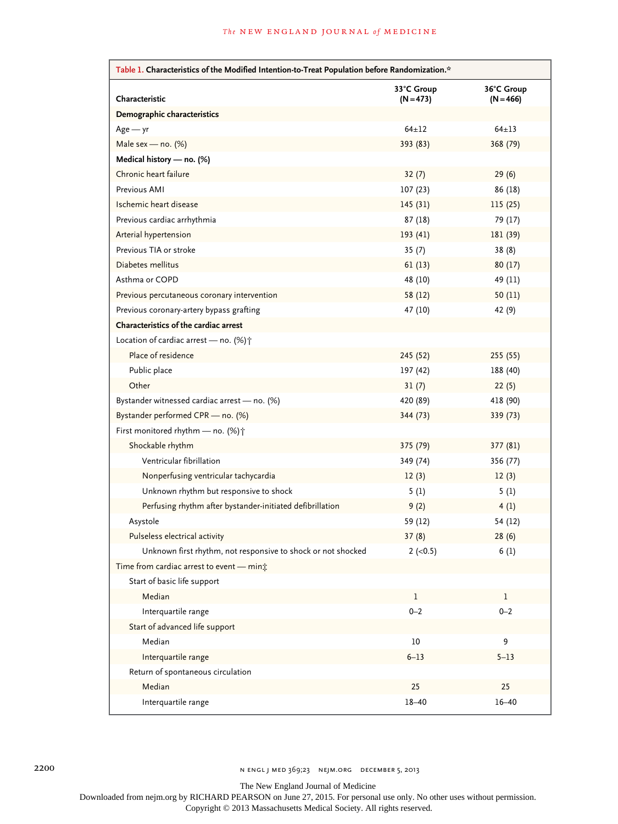| Table 1. Characteristics of the Modified Intention-to-Treat Population before Randomization.* |                           |                           |  |
|-----------------------------------------------------------------------------------------------|---------------------------|---------------------------|--|
| Characteristic                                                                                | 33°C Group<br>$(N = 473)$ | 36°C Group<br>$(N = 466)$ |  |
| Demographic characteristics                                                                   |                           |                           |  |
| $Age - yr$                                                                                    | $64 + 12$                 | $64 + 13$                 |  |
| Male sex - no. $(\%)$                                                                         | 393 (83)                  | 368 (79)                  |  |
| Medical history - no. (%)                                                                     |                           |                           |  |
| Chronic heart failure                                                                         | 32(7)                     | 29(6)                     |  |
| Previous AMI                                                                                  | 107(23)                   | 86 (18)                   |  |
| Ischemic heart disease                                                                        | 145(31)                   | 115(25)                   |  |
| Previous cardiac arrhythmia                                                                   | 87 (18)                   | 79 (17)                   |  |
| Arterial hypertension                                                                         | 193(41)                   | 181 (39)                  |  |
| Previous TIA or stroke                                                                        | 35(7)                     | 38(8)                     |  |
| Diabetes mellitus                                                                             | 61(13)                    | 80(17)                    |  |
| Asthma or COPD                                                                                | 48 (10)                   | 49 (11)                   |  |
| Previous percutaneous coronary intervention                                                   | 58 (12)                   | 50(11)                    |  |
| Previous coronary-artery bypass grafting                                                      | 47 (10)                   | 42 (9)                    |  |
| Characteristics of the cardiac arrest                                                         |                           |                           |  |
| Location of cardiac arrest - no. $(\%)\uparrow$                                               |                           |                           |  |
| Place of residence                                                                            | 245 (52)                  | 255 (55)                  |  |
| Public place                                                                                  | 197 (42)                  | 188 (40)                  |  |
| Other                                                                                         | 31(7)                     | 22(5)                     |  |
| Bystander witnessed cardiac arrest - no. (%)                                                  | 420 (89)                  | 418 (90)                  |  |
| Bystander performed CPR - no. (%)                                                             | 344 (73)                  | 339 (73)                  |  |
| First monitored rhythm - no. (%) +                                                            |                           |                           |  |
| Shockable rhythm                                                                              | 375 (79)                  | 377(81)                   |  |
| Ventricular fibrillation                                                                      | 349 (74)                  | 356 (77)                  |  |
| Nonperfusing ventricular tachycardia                                                          | 12(3)                     | 12(3)                     |  |
| Unknown rhythm but responsive to shock                                                        | 5(1)                      | 5(1)                      |  |
| Perfusing rhythm after bystander-initiated defibrillation                                     | 9(2)                      | 4(1)                      |  |
| Asystole                                                                                      | 59 (12)                   | 54 (12)                   |  |
| Pulseless electrical activity                                                                 | 37(8)                     | 28(6)                     |  |
| Unknown first rhythm, not responsive to shock or not shocked                                  | $2 (-0.5)$                | 6(1)                      |  |
| Time from cardiac arrest to event - min;                                                      |                           |                           |  |
| Start of basic life support                                                                   |                           |                           |  |
| Median                                                                                        | $\mathbf{1}$              | $\mathbf{1}$              |  |
| Interquartile range                                                                           | $0 - 2$                   | $0 - 2$                   |  |
| Start of advanced life support                                                                |                           |                           |  |
| Median                                                                                        | 10                        | 9                         |  |
| Interquartile range                                                                           | $6 - 13$                  | $5 - 13$                  |  |
| Return of spontaneous circulation                                                             |                           |                           |  |
| Median                                                                                        | 25                        | 25                        |  |
| Interquartile range                                                                           | $18 - 40$                 | $16 - 40$                 |  |

The New England Journal of Medicine

Downloaded from nejm.org by RICHARD PEARSON on June 27, 2015. For personal use only. No other uses without permission.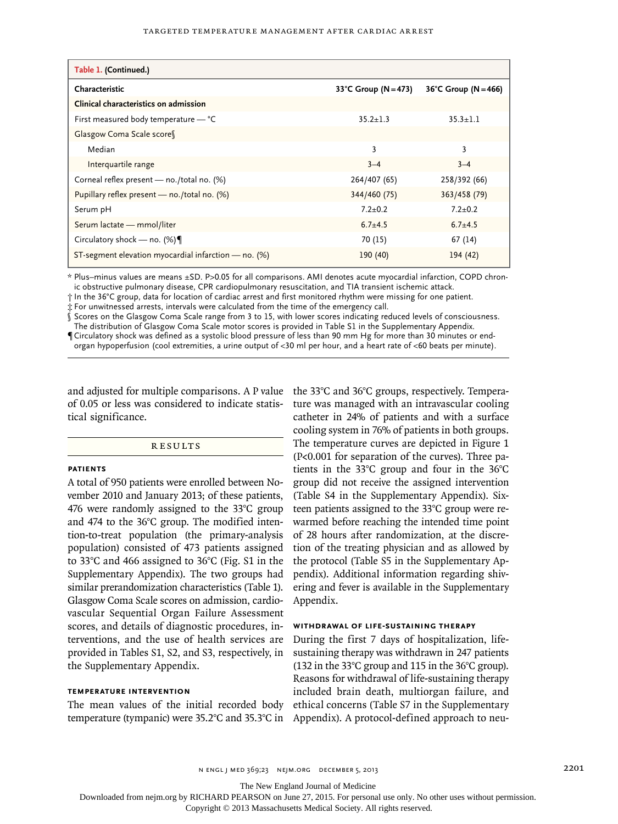| Table 1. (Continued.)                                |                          |                          |
|------------------------------------------------------|--------------------------|--------------------------|
| Characteristic                                       | 33°C Group ( $N = 473$ ) | 36°C Group ( $N = 466$ ) |
| Clinical characteristics on admission                |                          |                          |
| First measured body temperature $-$ °C               | $35.2 + 1.3$             | $35.3 + 1.1$             |
| Glasgow Coma Scale score                             |                          |                          |
| Median                                               | 3                        | 3                        |
| Interquartile range                                  | $3 - 4$                  | $3 - 4$                  |
| Corneal reflex present - no./total no. (%)           | 264/407 (65)             | 258/392 (66)             |
| Pupillary reflex present - no./total no. (%)         | 344/460 (75)             | 363/458 (79)             |
| Serum pH                                             | $7.2 + 0.2$              | $7.2 + 0.2$              |
| Serum lactate - mmol/liter                           | $6.7 + 4.5$              | $6.7 + 4.5$              |
| Circulatory shock — no. $(\%) \P$                    | 70 (15)                  | 67 (14)                  |
| ST-segment elevation myocardial infarction - no. (%) | 190(40)                  | 194 (42)                 |

\* Plus–minus values are means ±SD. P>0.05 for all comparisons. AMI denotes acute myocardial infarction, COPD chronic obstructive pulmonary disease, CPR cardiopulmonary resuscitation, and TIA transient ischemic attack.

† In the 36°C group, data for location of cardiac arrest and first monitored rhythm were missing for one patient.

‡ For unwitnessed arrests, intervals were calculated from the time of the emergency call.

§ Scores on the Glasgow Coma Scale range from 3 to 15, with lower scores indicating reduced levels of consciousness. The distribution of Glasgow Coma Scale motor scores is provided in Table S1 in the Supplementary Appendix. ¶Circulatory shock was defined as a systolic blood pressure of less than 90 mm Hg for more than 30 minutes or end-

organ hypoperfusion (cool extremities, a urine output of <30 ml per hour, and a heart rate of <60 beats per minute).

and adjusted for multiple comparisons. A P value the 33°C and 36°C groups, respectively. Temperaof 0.05 or less was considered to indicate statistical significance.

## **RESULTS**

### **Patients**

A total of 950 patients were enrolled between November 2010 and January 2013; of these patients, 476 were randomly assigned to the 33°C group and 474 to the 36°C group. The modified intention-to-treat population (the primary-analysis population) consisted of 473 patients assigned to 33°C and 466 assigned to 36°C (Fig. S1 in the Supplementary Appendix). The two groups had similar prerandomization characteristics (Table 1). Glasgow Coma Scale scores on admission, cardiovascular Sequential Organ Failure Assessment scores, and details of diagnostic procedures, interventions, and the use of health services are provided in Tables S1, S2, and S3, respectively, in the Supplementary Appendix.

# **Temperature Intervention**

The mean values of the initial recorded body

ture was managed with an intravascular cooling catheter in 24% of patients and with a surface cooling system in 76% of patients in both groups. The temperature curves are depicted in Figure 1 (P<0.001 for separation of the curves). Three patients in the 33°C group and four in the 36°C group did not receive the assigned intervention (Table S4 in the Supplementary Appendix). Sixteen patients assigned to the 33°C group were rewarmed before reaching the intended time point of 28 hours after randomization, at the discretion of the treating physician and as allowed by the protocol (Table S5 in the Supplementary Appendix). Additional information regarding shivering and fever is available in the Supplementary Appendix.

## **Withdrawal of Life-Sustaining Therapy**

temperature (tympanic) were 35.2°C and 35.3°C in Appendix). A protocol-defined approach to neu-During the first 7 days of hospitalization, lifesustaining therapy was withdrawn in 247 patients (132 in the 33°C group and 115 in the 36°C group). Reasons for withdrawal of life-sustaining therapy included brain death, multiorgan failure, and ethical concerns (Table S7 in the Supplementary

n ENGL J MED 369;23 NEJM.ORG DECEMBER 5, 2013 2201

The New England Journal of Medicine

Downloaded from nejm.org by RICHARD PEARSON on June 27, 2015. For personal use only. No other uses without permission.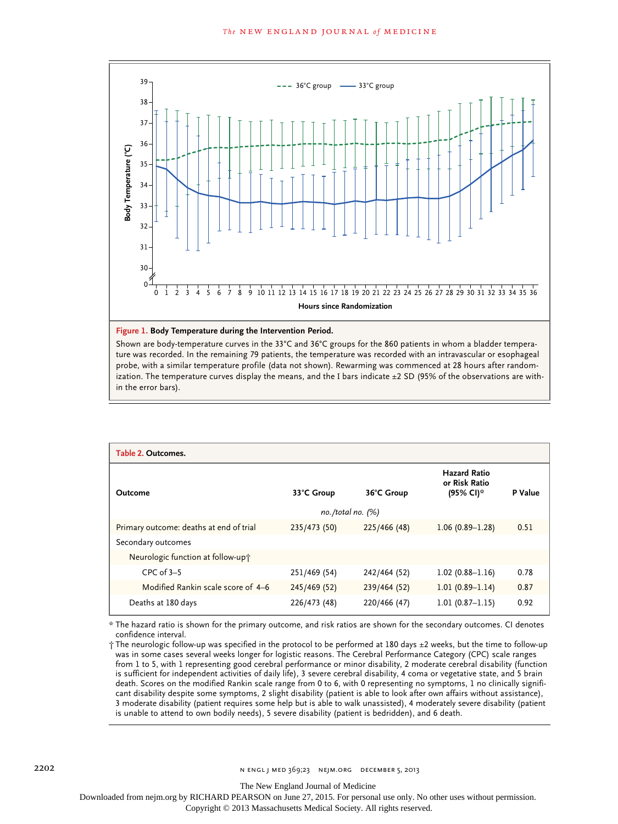

#### **Figure 1. Body Temperature during the Intervention Period.**

Shown are body-temperature curves in the 33°C and 36°C groups for the 860 patients in whom a bladder temperature was recorded. In the remaining 79 patients, the temperature was recorded with an intravascular or esophageal probe, with a similar temperature profile (data not shown). Rewarming was commenced at 28 hours after randomization. The temperature curves display the means, and the I bars indicate ±2 SD (95% of the observations are within the error bars).

| Table 2. Outcomes.                      |              |              |                                                   |         |
|-----------------------------------------|--------------|--------------|---------------------------------------------------|---------|
| Outcome                                 | 33°C Group   | 36°C Group   | <b>Hazard Ratio</b><br>or Risk Ratio<br>(95% CI)* | P Value |
| $no. /total no.$ (%)                    |              |              |                                                   |         |
| Primary outcome: deaths at end of trial | 235/473 (50) | 225/466 (48) | $1.06(0.89 - 1.28)$                               | 0.51    |
| Secondary outcomes                      |              |              |                                                   |         |
| Neurologic function at follow-up+       |              |              |                                                   |         |
| $CPC$ of $3-5$                          | 251/469 (54) | 242/464 (52) | $1.02(0.88 - 1.16)$                               | 0.78    |
| Modified Rankin scale score of 4-6      | 245/469 (52) | 239/464 (52) | $1.01(0.89 - 1.14)$                               | 0.87    |
| Deaths at 180 days                      | 226/473 (48) | 220/466 (47) | $1.01(0.87 - 1.15)$                               | 0.92    |

\* The hazard ratio is shown for the primary outcome, and risk ratios are shown for the secondary outcomes. CI denotes confidence interval.

† The neurologic follow-up was specified in the protocol to be performed at 180 days ±2 weeks, but the time to follow-up was in some cases several weeks longer for logistic reasons. The Cerebral Performance Category (CPC) scale ranges from 1 to 5, with 1 representing good cerebral performance or minor disability, 2 moderate cerebral disability (function is sufficient for independent activities of daily life), 3 severe cerebral disability, 4 coma or vegetative state, and 5 brain death. Scores on the modified Rankin scale range from 0 to 6, with 0 representing no symptoms, 1 no clinically significant disability despite some symptoms, 2 slight disability (patient is able to look after own affairs without assistance), 3 moderate disability (patient requires some help but is able to walk unassisted), 4 moderately severe disability (patient is unable to attend to own bodily needs), 5 severe disability (patient is bedridden), and 6 death.

The New England Journal of Medicine

Downloaded from nejm.org by RICHARD PEARSON on June 27, 2015. For personal use only. No other uses without permission.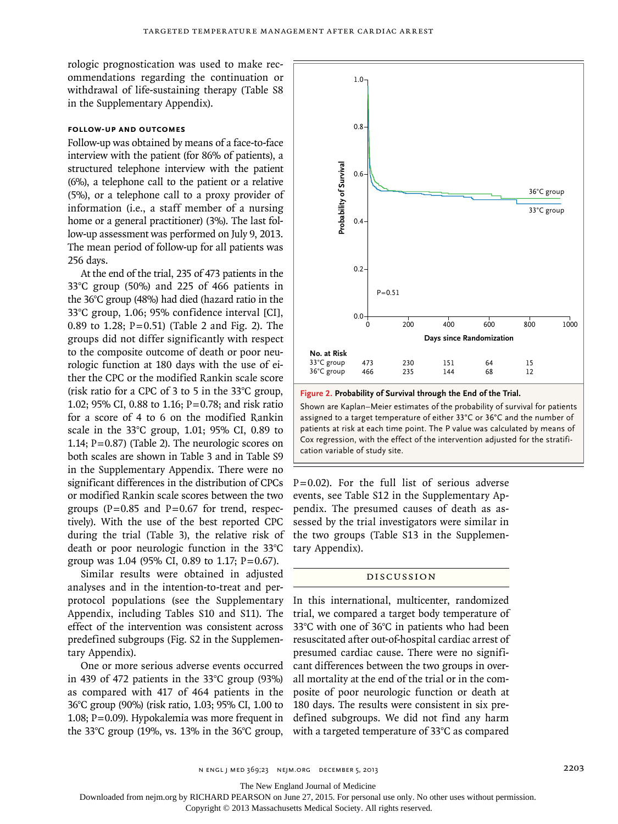rologic prognostication was used to make recommendations regarding the continuation or withdrawal of life-sustaining therapy (Table S8 in the Supplementary Appendix).

# **Follow-up and Outcomes**

Follow-up was obtained by means of a face-to-face interview with the patient (for 86% of patients), a structured telephone interview with the patient (6%), a telephone call to the patient or a relative (5%), or a telephone call to a proxy provider of information (i.e., a staff member of a nursing home or a general practitioner) (3%). The last follow-up assessment was performed on July 9, 2013. The mean period of follow-up for all patients was 256 days.

At the end of the trial, 235 of 473 patients in the 33°C group (50%) and 225 of 466 patients in the 36°C group (48%) had died (hazard ratio in the 33°C group, 1.06; 95% confidence interval [CI], 0.89 to 1.28;  $P = 0.51$ ) (Table 2 and Fig. 2). The groups did not differ significantly with respect to the composite outcome of death or poor neurologic function at 180 days with the use of either the CPC or the modified Rankin scale score (risk ratio for a CPC of 3 to 5 in the 33°C group, 1.02; 95% CI, 0.88 to 1.16; P=0.78; and risk ratio for a score of 4 to 6 on the modified Rankin scale in the 33°C group, 1.01; 95% CI, 0.89 to 1.14;  $P=0.87$ ) (Table 2). The neurologic scores on both scales are shown in Table 3 and in Table S9 in the Supplementary Appendix. There were no significant differences in the distribution of CPCs or modified Rankin scale scores between the two groups ( $P=0.85$  and  $P=0.67$  for trend, respectively). With the use of the best reported CPC during the trial (Table 3), the relative risk of death or poor neurologic function in the 33°C group was 1.04 (95% CI, 0.89 to 1.17; P=0.67).

Similar results were obtained in adjusted analyses and in the intention-to-treat and perprotocol populations (see the Supplementary Appendix, including Tables S10 and S11). The effect of the intervention was consistent across predefined subgroups (Fig. S2 in the Supplementary Appendix).

One or more serious adverse events occurred in 439 of 472 patients in the 33°C group (93%) as compared with 417 of 464 patients in the 36°C group (90%) (risk ratio, 1.03; 95% CI, 1.00 to 1.08; P=0.09). Hypokalemia was more frequent in the 33°C group (19%, vs. 13% in the 36°C group,



**Figure 2. Probability of Survival through the End of the Trial.**

Shown are Kaplan–Meier estimates of the probability of survival for patients assigned to a target temperature of either 33°C or 36°C and the number of patients at risk at each time point. The P value was calculated by means of Cox regression, with the effect of the intervention adjusted for the stratification variable of study site.

 $P=0.02$ ). For the full list of serious adverse events, see Table S12 in the Supplementary Appendix. The presumed causes of death as assessed by the trial investigators were similar in the two groups (Table S13 in the Supplementary Appendix).

### Discussion

In this international, multicenter, randomized trial, we compared a target body temperature of 33°C with one of 36°C in patients who had been resuscitated after out-of-hospital cardiac arrest of presumed cardiac cause. There were no significant differences between the two groups in overall mortality at the end of the trial or in the composite of poor neurologic function or death at 180 days. The results were consistent in six predefined subgroups. We did not find any harm

The New England Journal of Medicine

Downloaded from nejm.org by RICHARD PEARSON on June 27, 2015. For personal use only. No other uses without permission.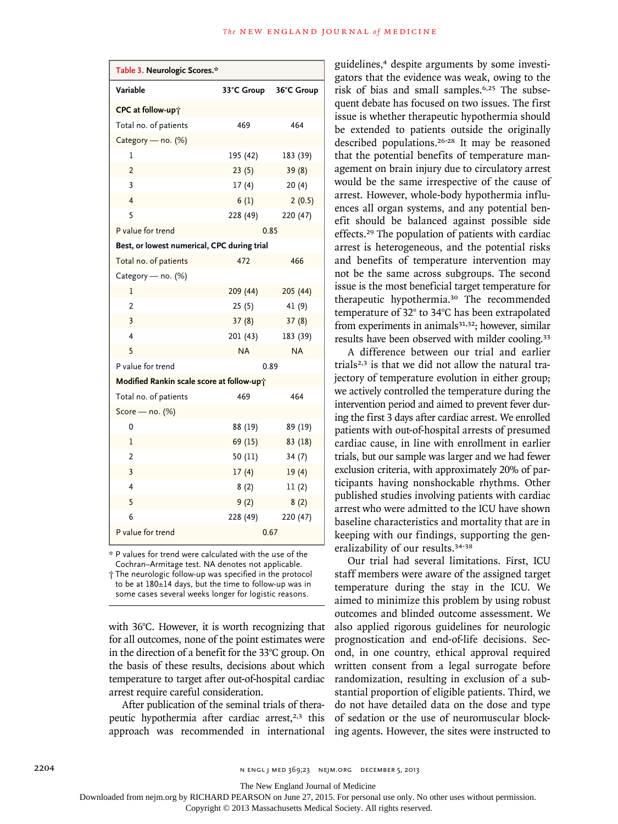| Table 3. Neurologic Scores.*                |            |            |  |  |
|---------------------------------------------|------------|------------|--|--|
| Variable                                    | 33°C Group | 36°C Group |  |  |
| CPC at follow-up;                           |            |            |  |  |
| Total no. of patients                       | 469        | 464        |  |  |
| Category - no. (%)                          |            |            |  |  |
| 1                                           | 195 (42)   | 183 (39)   |  |  |
| $\overline{2}$                              | 23(5)      | 39(8)      |  |  |
| 3                                           | 17(4)      | 20(4)      |  |  |
| $\overline{\mathbf{4}}$                     | 6(1)       | 2(0.5)     |  |  |
| 5                                           | 228 (49)   | 220 (47)   |  |  |
| P value for trend                           |            | 0.85       |  |  |
| Best, or lowest numerical, CPC during trial |            |            |  |  |
| Total no. of patients                       | 472        | 466        |  |  |
| Category - no. (%)                          |            |            |  |  |
| 1                                           | 209 (44)   | 205 (44)   |  |  |
| $\overline{2}$                              | 25(5)      | 41 (9)     |  |  |
| 3                                           | 37(8)      | 37(8)      |  |  |
| 4                                           | 201 (43)   | 183 (39)   |  |  |
| 5                                           | <b>NA</b>  | <b>NA</b>  |  |  |
| P value for trend                           |            | 0.89       |  |  |
| Modified Rankin scale score at follow-up;   |            |            |  |  |
| Total no. of patients                       | 469        | 464        |  |  |
| Score - $no.$ (%)                           |            |            |  |  |
| 0                                           | 88 (19)    | 89 (19)    |  |  |
| 1                                           | 69 (15)    | 83 (18)    |  |  |
| $\overline{2}$                              | 50 (11)    | 34 (7)     |  |  |
| 3                                           | 17(4)      | 19(4)      |  |  |
| 4                                           | 8(2)       | 11(2)      |  |  |
| 5                                           | 9(2)       | 8(2)       |  |  |
| 6                                           | 228 (49)   | 220 (47)   |  |  |
| P value for trend                           | 0.67       |            |  |  |

\* P values for trend were calculated with the use of the Cochran–Armitage test. NA denotes not applicable. † The neurologic follow-up was specified in the protocol to be at 180±14 days, but the time to follow-up was in

some cases several weeks longer for logistic reasons.

with 36°C. However, it is worth recognizing that for all outcomes, none of the point estimates were in the direction of a benefit for the 33°C group. On the basis of these results, decisions about which temperature to target after out-of-hospital cardiac arrest require careful consideration.

After publication of the seminal trials of therapeutic hypothermia after cardiac arrest,<sup>2,3</sup> this approach was recommended in international guidelines,4 despite arguments by some investigators that the evidence was weak, owing to the risk of bias and small samples.6,25 The subsequent debate has focused on two issues. The first issue is whether therapeutic hypothermia should be extended to patients outside the originally described populations.26-28 It may be reasoned that the potential benefits of temperature management on brain injury due to circulatory arrest would be the same irrespective of the cause of arrest. However, whole-body hypothermia influences all organ systems, and any potential benefit should be balanced against possible side effects.29 The population of patients with cardiac arrest is heterogeneous, and the potential risks and benefits of temperature intervention may not be the same across subgroups. The second issue is the most beneficial target temperature for therapeutic hypothermia.30 The recommended temperature of 32° to 34°C has been extrapolated from experiments in animals<sup>31,32</sup>; however, similar results have been observed with milder cooling.<sup>33</sup>

A difference between our trial and earlier trials<sup>2,3</sup> is that we did not allow the natural trajectory of temperature evolution in either group; we actively controlled the temperature during the intervention period and aimed to prevent fever during the first 3 days after cardiac arrest. We enrolled patients with out-of-hospital arrests of presumed cardiac cause, in line with enrollment in earlier trials, but our sample was larger and we had fewer exclusion criteria, with approximately 20% of participants having nonshockable rhythms. Other published studies involving patients with cardiac arrest who were admitted to the ICU have shown baseline characteristics and mortality that are in keeping with our findings, supporting the generalizability of our results.34-38

Our trial had several limitations. First, ICU staff members were aware of the assigned target temperature during the stay in the ICU. We aimed to minimize this problem by using robust outcomes and blinded outcome assessment. We also applied rigorous guidelines for neurologic prognostication and end-of-life decisions. Second, in one country, ethical approval required written consent from a legal surrogate before randomization, resulting in exclusion of a substantial proportion of eligible patients. Third, we do not have detailed data on the dose and type of sedation or the use of neuromuscular blocking agents. However, the sites were instructed to

2204 n engl j med 369;23 nejm.org december 5, 2013

The New England Journal of Medicine

Downloaded from nejm.org by RICHARD PEARSON on June 27, 2015. For personal use only. No other uses without permission.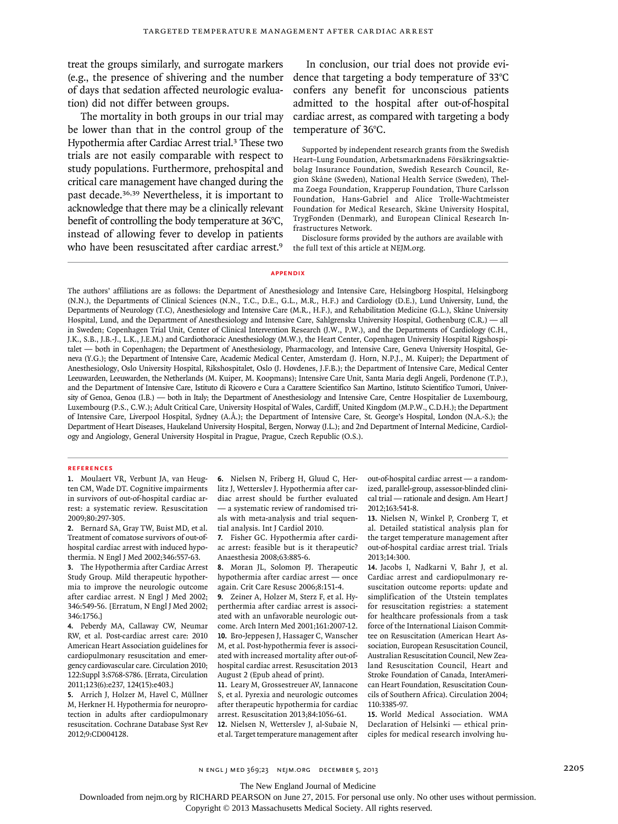treat the groups similarly, and surrogate markers (e.g., the presence of shivering and the number of days that sedation affected neurologic evaluation) did not differ between groups.

The mortality in both groups in our trial may be lower than that in the control group of the Hypothermia after Cardiac Arrest trial.<sup>3</sup> These two trials are not easily comparable with respect to study populations. Furthermore, prehospital and critical care management have changed during the past decade.36,39 Nevertheless, it is important to acknowledge that there may be a clinically relevant benefit of controlling the body temperature at 36°C, instead of allowing fever to develop in patients who have been resuscitated after cardiac arrest.<sup>9</sup>

In conclusion, our trial does not provide evidence that targeting a body temperature of 33°C confers any benefit for unconscious patients admitted to the hospital after out-of-hospital cardiac arrest, as compared with targeting a body temperature of 36°C.

Supported by independent research grants from the Swedish Heart–Lung Foundation, Arbetsmarknadens Försäkringsaktiebolag Insurance Foundation, Swedish Research Council, Region Skåne (Sweden), National Health Service (Sweden), Thelma Zoega Foundation, Krapperup Foundation, Thure Carlsson Foundation, Hans-Gabriel and Alice Trolle-Wachtmeister Foundation for Medical Research, Skåne University Hospital, TrygFonden (Denmark), and European Clinical Research Infrastructures Network.

Disclosure forms provided by the authors are available with the full text of this article at NEJM.org.

#### **Appendix**

The authors' affiliations are as follows: the Department of Anesthesiology and Intensive Care, Helsingborg Hospital, Helsingborg (N.N.), the Departments of Clinical Sciences (N.N., T.C., D.E., G.L., M.R., H.F.) and Cardiology (D.E.), Lund University, Lund, the Departments of Neurology (T.C), Anesthesiology and Intensive Care (M.R., H.F.), and Rehabilitation Medicine (G.L.), Skåne University Hospital, Lund, and the Department of Anesthesiology and Intensive Care, Sahlgrenska University Hospital, Gothenburg (C.R.) — all in Sweden; Copenhagen Trial Unit, Center of Clinical Intervention Research (J.W., P.W.), and the Departments of Cardiology (C.H., J.K., S.B., J.B.-J., L.K., J.E.M.) and Cardiothoracic Anesthesiology (M.W.), the Heart Center, Copenhagen University Hospital Rigshospitalet — both in Copenhagen; the Department of Anesthesiology, Pharmacology, and Intensive Care, Geneva University Hospital, Geneva (Y.G.); the Department of Intensive Care, Academic Medical Center, Amsterdam (J. Horn, N.P.J., M. Kuiper); the Department of Anesthesiology, Oslo University Hospital, Rikshospitalet, Oslo (J. Hovdenes, J.F.B.); the Department of Intensive Care, Medical Center Leeuwarden, Leeuwarden, the Netherlands (M. Kuiper, M. Koopmans); Intensive Care Unit, Santa Maria degli Angeli, Pordenone (T.P.), and the Department of Intensive Care, Istituto di Ricovero e Cura a Carattere Scientifico San Martino, Istituto Scientifico Tumori, University of Genoa, Genoa (I.B.) — both in Italy; the Department of Anesthesiology and Intensive Care, Centre Hospitalier de Luxembourg, Luxembourg (P.S., C.W.); Adult Critical Care, University Hospital of Wales, Cardiff, United Kingdom (M.P.W., C.D.H.); the Department of Intensive Care, Liverpool Hospital, Sydney (A.Å.); the Department of Intensive Care, St. George's Hospital, London (N.A.-S.); the Department of Heart Diseases, Haukeland University Hospital, Bergen, Norway (J.L.); and 2nd Department of Internal Medicine, Cardiology and Angiology, General University Hospital in Prague, Prague, Czech Republic (O.S.).

#### **References**

**1.** Moulaert VR, Verbunt JA, van Heugten CM, Wade DT. Cognitive impairments in survivors of out-of-hospital cardiac arrest: a systematic review. Resuscitation 2009;80:297-305.

**2.** Bernard SA, Gray TW, Buist MD, et al. Treatment of comatose survivors of out-ofhospital cardiac arrest with induced hypothermia. N Engl J Med 2002;346:557-63.

**3.** The Hypothermia after Cardiac Arrest Study Group. Mild therapeutic hypothermia to improve the neurologic outcome after cardiac arrest. N Engl J Med 2002; 346:549-56. [Erratum, N Engl J Med 2002; 346:1756.]

**4.** Peberdy MA, Callaway CW, Neumar RW, et al. Post-cardiac arrest care: 2010 American Heart Association guidelines for cardiopulmonary resuscitation and emergency cardiovascular care. Circulation 2010; 122:Suppl 3:S768-S786. [Errata, Circulation 2011;123(6):e237, 124(15):e403.]

**5.** Arrich J, Holzer M, Havel C, Müllner M, Herkner H. Hypothermia for neuroprotection in adults after cardiopulmonary resuscitation. Cochrane Database Syst Rev 2012;9:CD004128.

**6.** Nielsen N, Friberg H, Gluud C, Herlitz J, Wetterslev J. Hypothermia after cardiac arrest should be further evaluated — a systematic review of randomised trials with meta-analysis and trial sequential analysis. Int J Cardiol 2010.

**7.** Fisher GC. Hypothermia after cardiac arrest: feasible but is it therapeutic? Anaesthesia 2008;63:885-6.

**8.** Moran JL, Solomon PJ. Therapeutic hypothermia after cardiac arrest — once again. Crit Care Resusc 2006;8:151-4.

**9.** Zeiner A, Holzer M, Sterz F, et al. Hyperthermia after cardiac arrest is associated with an unfavorable neurologic outcome. Arch Intern Med 2001;161:2007-12. **10.** Bro-Jeppesen J, Hassager C, Wanscher M, et al. Post-hypothermia fever is associated with increased mortality after out-ofhospital cardiac arrest. Resuscitation 2013 August 2 (Epub ahead of print).

**11.** Leary M, Grossestreuer AV, Iannacone S, et al. Pyrexia and neurologic outcomes after therapeutic hypothermia for cardiac arrest. Resuscitation 2013;84:1056-61.

**12.** Nielsen N, Wetterslev J, al-Subaie N, et al. Target temperature management after out-of-hospital cardiac arrest — a randomized, parallel-group, assessor-blinded clinical trial — rationale and design. Am Heart J 2012;163:541-8.

**13.** Nielsen N, Winkel P, Cronberg T, et al. Detailed statistical analysis plan for the target temperature management after out-of-hospital cardiac arrest trial. Trials 2013;14:300.

**14.** Jacobs I, Nadkarni V, Bahr J, et al. Cardiac arrest and cardiopulmonary resuscitation outcome reports: update and simplification of the Utstein templates for resuscitation registries: a statement for healthcare professionals from a task force of the International Liaison Committee on Resuscitation (American Heart Association, European Resuscitation Council, Australian Resuscitation Council, New Zealand Resuscitation Council, Heart and Stroke Foundation of Canada, InterAmerican Heart Foundation, Resuscitation Councils of Southern Africa). Circulation 2004; 110:3385-97.

**15.** World Medical Association. WMA Declaration of Helsinki — ethical principles for medical research involving hu-

n engl j med 369;23 nejm.org december 5, 2013 2205

The New England Journal of Medicine

Downloaded from nejm.org by RICHARD PEARSON on June 27, 2015. For personal use only. No other uses without permission.